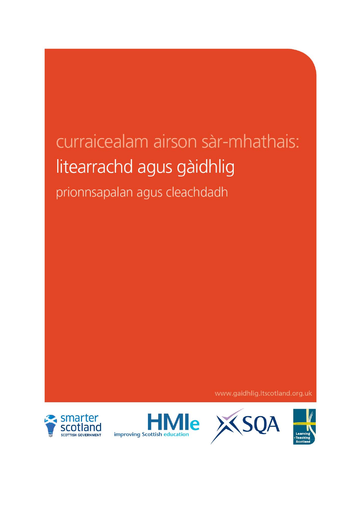# curraicealam airson sàr-mhathais: litearrachd agus gàidhlig prionnsapalan agus cleachdadh

www.gaidhlig.ltscotland.org.uk







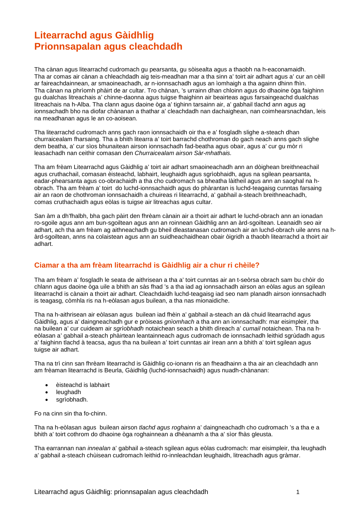# **Litearrachd agus Gàidhlig Prionnsapalan agus cleachdadh**

Tha cànan agus litearrachd cudromach gu pearsanta, gu sòisealta agus a thaobh na h-eaconamaidh. Tha ar comas air cànan a chleachdadh aig teis-meadhan mar a tha sinn a' toirt air adhart agus a' cur an cèill ar faireachdainnean, ar smaoineachadh, ar n-ionnsachadh agus an ìomhaigh a tha againn dhinn fhìn. Tha cànan na phrìomh phàirt de ar cultar. Tro chànan, 's urrainn dhan chloinn agus do dhaoine òga faighinn gu dualchas litreachais a' chinne-daonna agus tuigse fhaighinn air beairteas agus farsaingeachd dualchas litreachais na h-Alba. Tha clann agus daoine òga a' tighinn tarsainn air, a' gabhail tlachd ann agus ag ionnsachadh bho na diofar chànanan a thathar a' cleachdadh nan dachaighean, nan coimhearsnachdan, leis na meadhanan agus le an co-aoisean.

Tha litearrachd cudromach anns gach raon ionnsachaidh oir tha e a' fosgladh slighe a-steach dhan churraicealam fharsaing. Tha a bhith litearra a' toirt barrachd chothroman do gach neach anns gach slighe dem beatha, a' cur sìos bhunaitean airson ionnsachadh fad-beatha agus obair, agus a' cur gu mòr ri leasachadh nan ceithir comasan den *Churraicealam airson Sàr-mhathais.*

Tha am frèam Litearrachd agus Gàidhlig a' toirt air adhart smaoineachadh ann an dòighean breithneachail agus cruthachail, comasan èisteachd, labhairt, leughaidh agus sgrìobhaidh, agus na sgilean pearsanta, eadar-phearsanta agus co-obrachaidh a tha cho cudromach sa bheatha làitheil agus ann an saoghal na hobrach. Tha am frèam a' toirt do luchd-ionnsachaidh agus do phàrantan is luchd-teagaisg cunntas farsaing air an raon de chothroman ionnsachaidh a chuireas ri litearrachd, a' gabhail a-steach breithneachadh, comas cruthachaidh agus eòlas is tuigse air litreachas agus cultar.

San àm a dh'fhalbh, bha gach pàirt den fhrèam cànain air a thoirt air adhart le luchd-obrach ann an ionadan ro-sgoile agus ann am bun-sgoiltean agus ann an roinnean Gàidhlig ann an àrd-sgoiltean. Leanaidh seo air adhart, ach tha am frèam ag aithneachadh gu bheil dleastanasan cudromach air an luchd-obrach uile anns na hàrd-sgoiltean, anns na colaistean agus ann an suidheachaidhean obair òigridh a thaobh litearrachd a thoirt air adhart.

# **Ciamar a tha am frèam litearrachd is Gàidhlig air a chur ri chèile?**

Tha am frèam a' fosgladh le seata de aithrisean a tha a' toirt cunntas air an t-seòrsa obrach sam bu chòir do chlann agus daoine òga uile a bhith an sàs fhad 's a tha iad ag ionnsachadh airson an eòlas agus an sgilean litearrachd is cànain a thoirt air adhart. Cleachdaidh luchd-teagaisg iad seo nam planadh airson ionnsachadh is teagasg, còmhla ris na h-eòlasan agus builean, a tha nas mionaidiche.

Tha na h-aithrisean air eòlasan agus builean iad fhèin a' gabhail a-steach an dà chuid litearrachd agus Gàidhlig, agus a' daingneachadh gur e pròiseas *gnìomhach* a tha ann an ionnsachadh: mar eisimpleir, tha na builean a' cur cuideam air *sgrìobhadh* notaichean seach a bhith dìreach a' *cumail* notaichean. Tha na heòlasan a' gabhail a-steach phàirtean leantainneach agus cudromach de ionnsachadh leithid sgrùdadh agus a' faighinn tlachd à teacsa, agus tha na builean a' toirt cunntas air ìrean ann a bhith a' toirt sgilean agus tuigse air adhart.

Tha na trì cinn san fhrèam litearrachd is Gàidhlig co-ionann ris an fheadhainn a tha air an cleachdadh ann am frèaman litearrachd is Beurla, Gàidhlig (luchd-ionnsachaidh) agus nuadh-chànanan:

- èisteachd is labhairt
- leughadh
- sgrìobhadh.

Fo na cinn sin tha fo-chinn.

Tha na h-eòlasan agus builean airson *tlachd agus roghainn* a' daingneachadh cho cudromach 's a tha e a bhith a' toirt cothrom do dhaoine òga roghainnean a dhèanamh a tha a' sìor fhàs gleusta.

Tha earrannan nan *innealan* a' gabhail a-steach sgilean agus eòlas cudromach: mar eisimpleir, tha leughadh a' gabhail a-steach chùisean cudromach leithid ro-innleachdan leughaidh, litreachadh agus gràmar.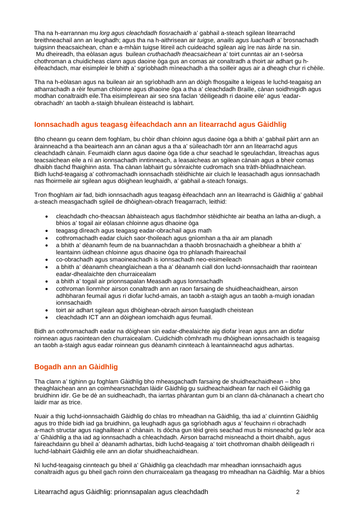Tha na h-earrannan mu *lorg agus cleachdadh fiosrachaidh* a' gabhail a-steach sgilean litearrachd breithneachail ann an leughadh; agus tha na h-aithrisean air *tuigse, anailis agus luachadh* a' brosnachadh tuigsinn theacsaichean, chan e a-mhàin tuigse litireil ach cuideachd sgilean aig ìre nas àirde na sin. Mu dheireadh, tha eòlasan agus builean *cruthachadh theacsaichean* a' toirt cunntas air an t-seòrsa chothroman a chuidicheas clann agus daoine òga gus an comas air conaltradh a thoirt air adhart gu hèifeachdach, mar eisimpleir le bhith a' sgrìobhadh mìneachadh a tha soilleir agus air a dheagh chur ri chèile.

Tha na h-eòlasan agus na builean air an sgrìobhadh ann an dòigh fhosgailte a leigeas le luchd-teagaisg an atharrachadh a rèir feuman chloinne agus dhaoine òga a tha a' cleachdadh Braille, cànan soidhnigidh agus modhan conaltraidh eile.Tha eisimpleirean air seo sna faclan 'dèiligeadh ri daoine eile' agus 'eadarobrachadh' an taobh a-staigh bhuilean èisteachd is labhairt.

# **Ionnsachadh agus teagasg èifeachdach ann an litearrachd agus Gàidhlig**

Bho cheann gu ceann dem foghlam, bu chòir dhan chloinn agus daoine òga a bhith a' gabhail pàirt ann an àrainneachd a tha beairteach ann an cànan agus a tha a' sùileachadh tòrr ann an litearrachd agus cleachdadh cànain. Feumaidh clann agus daoine òga tìde a chur seachad le sgeulachdan, litreachas agus teacsaichean eile a nì an ionnsachadh inntinneach, a leasaicheas an sgilean cànain agus a bheir comas dhaibh tlachd fhaighinn asta. Tha cànan labhairt gu sònraichte cudromach sna tràth-bhliadhnaichean. Bidh luchd-teagaisg a' cothromachadh ionnsachadh stèidhichte air cluich le leasachadh agus ionnsachadh nas fhoirmeile air sgilean agus dòighean leughaidh, a' gabhail a-steach fonaigs.

Tron fhoghlam air fad, bidh ionnsachadh agus teagasg èifeachdach ann an litearrachd is Gàidhlig a' gabhail a-steach measgachadh sgileil de dhòighean-obrach freagarrach, leithid:

- cleachdadh cho-theacsan àbhaisteach agus tlachdmhor stèidhichte air beatha an latha an-diugh, a bhios a' togail air eòlasan chloinne agus dhaoine òga
- teagasg dìreach agus teagasg eadar-obrachail agus math
- cothromachadh eadar cluich saor-thoileach agus gnìomhan a tha air am planadh
- a bhith a' dèanamh feum de na buannachdan a thaobh brosnachaidh a gheibhear a bhith a' leantainn ùidhean chloinne agus dhaoine òga tro phlanadh fhaireachail
- co-obrachadh agus smaoineachadh is ionnsachadh neo-eisimeileach
- a bhith a' dèanamh cheanglaichean a tha a' dèanamh ciall don luchd-ionnsachaidh thar raointean eadar-dhealaichte den churraicealam
- a bhith a' togail air prionnsapalan Measadh agus Ionnsachadh
- cothroman lìonmhor airson conaltradh ann an raon farsaing de shuidheachaidhean, airson adhbharan feumail agus ri diofar luchd-amais, an taobh a-staigh agus an taobh a-muigh ionadan ionnsachaidh
- toirt air adhart sgilean agus dhòighean-obrach airson fuasgladh cheistean
- cleachdadh ICT ann an dòighean iomchaidh agus feumail.

Bidh an cothromachadh eadar na dòighean sin eadar-dhealaichte aig diofar ìrean agus ann an diofar roinnean agus raointean den churraicealam. Cuidichidh còmhradh mu dhòighean ionnsachaidh is teagaisg an taobh a-staigh agus eadar roinnean gus dèanamh cinnteach à leantainneachd agus adhartas.

# **Bogadh ann an Gàidhlig**

Tha clann a' tighinn gu foghlam Gàidhlig bho mheasgachadh farsaing de shuidheachaidhean – bho theaghlaichean ann an coimhearsnachdan làidir Gàidhlig gu suidheachaidhean far nach eil Gàidhlig ga bruidhinn idir. Ge be dè an suidheachadh, tha iarrtas phàrantan gum bi an clann dà-chànanach a cheart cho laidir mar as trice.

Nuair a thig luchd-ionnsachaidh Gàidhlig do chlas tro mheadhan na Gàidhlig, tha iad a' cluinntinn Gàidhlig agus tro thìde bidh iad ga bruidhinn, ga leughadh agus ga sgrìobhadh agus a' feuchainn ri obrachadh a-mach structar agus riaghailtean a' chànain. Is dòcha gun tèid greis seachad mus bi misneachd gu leòr aca a' Ghàidhlig a tha iad ag ionnsachadh a chleachdadh. Airson barrachd misneachd a thoirt dhaibh, agus faireachdainn gu bheil a' dèanamh adhartas, bidh luchd-teagaisg a' toirt chothroman dhaibh dèiligeadh ri luchd-labhairt Gàidhlig eile ann an diofar shuidheachaidhean.

Nì luchd-teagaisg cinnteach gu bheil a' Ghàidhlig ga cleachdadh mar mheadhan ionnsachaidh agus conaltraidh agus gu bheil gach roinn den churraicealam ga theagasg tro mheadhan na Gàidhlig. Mar a bhios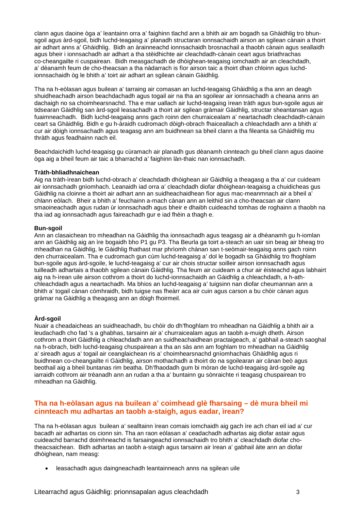clann agus daoine òga a' leantainn orra a' faighinn tlachd ann a bhith air am bogadh sa Ghàidhlig tro bhunsgoil agus àrd-sgoil, bidh luchd-teagaisg a' planadh structaran ionnsachaidh airson an sgilean cànain a thoirt air adhart anns a' Ghàidhlig. Bidh an àrainneachd ionnsachaidh brosnachail a thaobh cànain agus seallaidh agus bheir i ionnsachadh air adhart a tha stèidhichte air cleachdadh-cànain ceart agus briathrachas co-cheangailte ri cuspairean. Bidh measgachadh de dhòighean-teagaisg iomchaidh air an cleachdadh, a' dèanamh feum de cho-theacsan a tha nàdarrach is fìor airson taic a thoirt dhan chloinn agus luchdionnsachaidh òg le bhith a' toirt air adhart an sgilean cànain Gàidhlig.

Tha na h-eòlasan agus builean a' tarraing air comasan an luchd-teagaisg Ghàidhlig a tha ann an deagh shuidheachadh airson beachdachadh agus togail air na tha an sgoilear air ionnsachadh a cheana anns an dachaigh no sa choimhearsnachd. Tha e mar uallach air luchd-teagaisg ìrean tràth agus bun-sgoile agus air tidsearan Gàidhlig san àrd-sgoil leasachadh a thoirt air sgilean gràmair Gàidhlig, structar sheantansan agus fuaimneachadh. Bidh luchd-teagaisg anns gach roinn den churraicealam a' neartachadh cleachdadh-cànain ceart sa Ghàidhlig. Bidh e gu h-àraidh cudromach dòigh-obrach fhaiceallach a chleachdadh ann a bhith a' cur air dòigh ionnsachadh agus teagasg ann am buidhnean sa bheil clann a tha fileanta sa Ghàidhlig mu thràth agus feadhainn nach eil.

Beachdaichidh luchd-teagaisg gu cùramach air planadh gus dèanamh cinnteach gu bheil clann agus daoine òga aig a bheil feum air taic a bharrachd a' faighinn làn-thaic nan ionnsachadh.

#### **Tràth-bhliadhnaichean**

Aig na tràth-ìrean bidh luchd-obrach a' cleachdadh dhòighean air Gàidhlig a theagasg a tha a' cur cuideam air ionnsachadh gnìomhach. Leanaidh iad orra a' cleachdadh diofar dhòighean-teagaisg a chuidicheas gus Gàidhlig na cloinne a thoirt air adhart ann an suidheachaidhean fìor agus mac-meanmnach air a bheil a' chlann eòlach. Bheir a bhith a' feuchainn a-mach cànan ann an leithid sin a cho-theacsan air clann smaoineachadh agus rudan ùr ionnsachadh agus bheir e dhaibh cuideachd tomhas de roghainn a thaobh na tha iad ag ionnsachadh agus faireachadh gur e iad fhèin a thagh e.

#### **Bun-sgoil**

Ann an clasaichean tro mheadhan na Gàidhlig tha ionnsachadh agus teagasg air a dhèanamh gu h-iomlan ann an Gàidhlig aig an ìre bogaidh bho P1 gu P3. Tha Beurla ga toirt a-steach an uair sin beag air bheag tro mheadhan na Gàidhlig, le Gàidhlig fhathast mar phrìomh chànan san t-seòmair-teagaisg anns gach roinn den churraicealam. Tha e cudromach gun cùm luchd-teagaisg a' dol le bogadh sa Ghàidhlig tro fhoghlam bun-sgoile agus àrd-sgoile, le luchd-teagaisg a' cur air chois structar soilleir airson ionnsachadh agus tuilleadh adhartais a thaobh sgilean cànain Gàidhlig. Tha feum air cuideam a chur air èisteachd agus labhairt aig na h-ìrean uile airson cothrom a thoirt do luchd-ionnsachaidh an Gàidhlig a chleachdadh, a h-athchleachdadh agus a neartachadh. Ma bhios an luchd-teagaisg a' tuigsinn nan diofar cheumannan ann a bhith a' togail cànan còmhraidh, bidh tuigse nas fheàrr aca air cuin agus carson a bu chòir cànan agus gràmar na Gàidhlig a theagasg ann an dòigh fhoirmeil.

#### **Àrd-sgoil**

Nuair a cheadaicheas an suidheachadh, bu chòir do dh'fhoghlam tro mheadhan na Gàidhlig a bhith air a leudachadh cho fad 's a ghabhas, tarsainn air a' churraicealam agus an taobh a-muigh dheth. Airson cothrom a thoirt Gàidhlig a chleachdadh ann an suidheachaidhean practaigeach, a' gabhail a-steach saoghal na h-obrach, bidh luchd-teagaisg chuspairean a tha an sàs ann am foghlam tro mheadhan na Gàidhlig a' sireadh agus a' togail air ceanglaichean ris a' choimhearsnachd gnìomhachais Ghàidhlig agus ri buidhnean co-cheangailte ri Gàidhlig, airson mothachadh a thoirt do na sgoilearan air cànan beò agus beothail aig a bheil buntanas rim beatha. Dh'fhaodadh gum bi mòran de luchd-teagaisg àrd-sgoile ag iarraidh cothrom air trèanadh ann an rudan a tha a' buntainn gu sònraichte ri teagasg chuspairean tro mheadhan na Gàidhlig.

## **Tha na h-eòlasan agus na builean a' coimhead glè fharsaing – dè mura bheil mi cinnteach mu adhartas an taobh a-staigh, agus eadar, ìrean?**

Tha na h-eòlasan agus builean a' sealltainn ìrean comais iomchaidh aig gach ìre ach chan eil iad a' cur bacadh air adhartas os cionn sin. Tha an raon eòlasan a' ceadachadh adhartas aig diofar astair agus cuideachd barrachd doimhneachd is farsaingeachd ionnsachaidh tro bhith a' cleachdadh diofar chotheacsaichean. Bidh adhartas an taobh a-staigh agus tarsainn air ìrean a' gabhail àite ann an diofar dhòighean, nam measg:

• leasachadh agus daingneachadh leantainneach anns na sgilean uile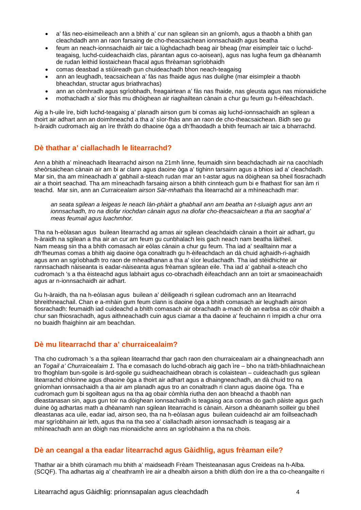- a' fàs neo-eisimeileach ann a bhith a' cur nan sgilean sin an gnìomh, agus a thaobh a bhith gan cleachdadh ann an raon farsaing de cho-theacsaichean ionnsachaidh agus beatha
- feum an neach-ionnsachaidh air taic a lùghdachadh beag air bheag (mar eisimpleir taic o luchdteagaisg, luchd-cuideachaidh clas, pàrantan agus co-aoisean), agus nas lugha feum ga dhèanamh de rudan leithid liostaichean fhacal agus fhrèaman sgrìobhaidh
- comas deasbad a stiùireadh gun chuideachadh bhon neach-teagaisg
- ann an leughadh, teacsaichean a' fàs nas fhaide agus nas duilghe (mar eisimpleir a thaobh bheachdan, structar agus briathrachas)
- ann an còmhradh agus sgrìobhadh, freagairtean a' fàs nas fhaide, nas gleusta agus nas mionaidiche
- mothachadh a' sìor fhàs mu dhòighean air riaghailtean cànain a chur gu feum gu h-èifeachdach.

Aig a h-uile ìre, bidh luchd-teagaisg a' planadh airson gum bi comas aig luchd-ionnsachaidh an sgilean a thoirt air adhart ann an doimhneachd a tha a' sìor-fhàs ann an raon de cho-theacsaichean. Bidh seo gu h-àraidh cudromach aig an ìre thràth do dhaoine òga a dh'fhaodadh a bhith feumach air taic a bharrachd.

# **Dè thathar a' ciallachadh le litearrachd?**

Ann a bhith a' mìneachadh litearrachd airson na 21mh linne, feumaidh sinn beachdachadh air na caochladh sheòrsaichean cànain air am bi ar clann agus daoine òga a' tighinn tarsainn agus a bhios iad a' cleachdadh. Mar sin, tha am mìneachadh a' gabhail a-steach rudan mar an t-astar agus na dòighean sa bheil fiosrachadh air a thoirt seachad. Tha am mìneachadh farsaing airson a bhith cinnteach gum bi e fhathast fìor san àm ri teachd. Mar sin, ann an *Curraicealam airson Sàr-mhathais* tha litearrachd air a mhìneachadh mar:

*an seata sgilean a leigeas le neach làn-phàirt a ghabhail ann am beatha an t-sluaigh agus ann an ionnsachadh, tro na diofar riochdan cànain agus na diofar cho-theacsaichean a tha an saoghal a' meas feumail agus luachmhor.*

Tha na h-eòlasan agus builean litearrachd ag amas air sgilean cleachdaidh cànain a thoirt air adhart, gu h-àraidh na sgilean a tha air an cur am feum gu cunbhalach leis gach neach nam beatha làitheil. Nam measg sin tha a bhith comasach air eòlas cànain a chur gu feum. Tha iad a' sealltainn mar a dh'fheumas comas a bhith aig daoine òga conaltradh gu h-èifeachdach an dà chuid aghaidh-ri-aghaidh agus ann an sgrìobhadh tro raon de mheadhanan a tha a' sìor leudachadh. Tha iad stèidhichte air rannsachadh nàiseanta is eadar-nàiseanta agus frèaman sgilean eile. Tha iad a' gabhail a-steach cho cudromach 's a tha èisteachd agus labhairt agus co-obrachadh èifeachdach ann an toirt ar smaoineachaidh agus ar n-ionnsachaidh air adhart.

Gu h-àraidh, tha na h-eòlasan agus builean a' dèiligeadh ri sgilean cudromach ann an litearrachd bhreithneachail. Chan e a-mhàin gum feum clann is daoine òga a bhith comasach air leughadh airson fiosrachadh: feumaidh iad cuideachd a bhith comasach air obrachadh a-mach dè an earbsa as còir dhaibh a chur san fhiosrachadh, agus aithneachadh cuin agus ciamar a tha daoine a' feuchainn ri ìmpidh a chur orra no buaidh fhaighinn air am beachdan.

### **Dè mu litearrachd thar a' churraicealaim?**

Tha cho cudromach 's a tha sgilean litearrachd thar gach raon den churraicealam air a dhaingneachadh ann an *Togail a' Churraicealaim 1.* Tha e comasach do luchd-obrach aig gach ìre – bho na tràth-bhliadhnaichean tro fhoghlam bun-sgoile is àrd-sgoile gu suidheachaidhean obrach is colaistean – cuideachadh gus sgilean litearrachd chloinne agus dhaoine òga a thoirt air adhart agus a dhaingneachadh, an dà chuid tro na gnìomhan ionnsachaidh a tha air am planadh agus tro an conaltradh ri clann agus daoine òga. Tha e cudromach gum bi sgoiltean agus na tha ag obair còmhla riutha den aon bheachd a thaobh nan dleastanasan sin, agus gun toir na dòighean ionnsachaidh is teagaisg aca comas do gach pàiste agus gach duine òg adhartas math a dhèanamh nan sgilean litearrachd is cànain. Airson a dhèanamh soilleir gu bheil dleastanas aca uile, eadar iad, airson seo, tha na h-eòlasan agus builean cuideachd air am foillseachadh mar sgrìobhainn air leth, agus tha na tha seo a' ciallachadh airson ionnsachadh is teagasg air a mhìneachadh ann an dòigh nas mionaidiche anns an sgrìobhainn a tha na chois.

### **Dè an ceangal a tha eadar litearrachd agus Gàidhlig, agus frèaman eile?**

Thathar air a bhith cùramach mu bhith a' maidseadh Frèam Theisteanasan agus Creideas na h-Alba. (SCQF). Tha adhartas aig a' cheathramh ìre air a dhealbh airson a bhith dlùth don ìre a tha co-cheangailte ri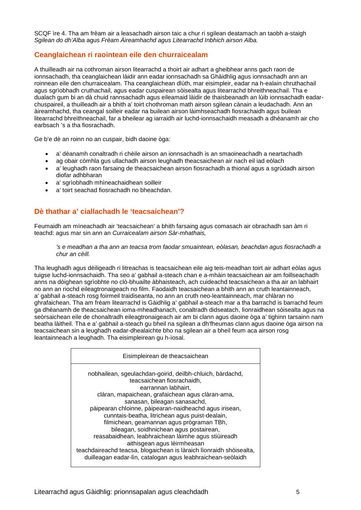SCQF ìre 4. Tha am frèam air a leasachadh airson taic a chur ri sgilean deatamach an taobh a-staigh *Sgilean do dh'Alba* agus *Frèam Àireamhachd agus Litearrachd Inbhich airson Alba.*

# **Ceanglaichean ri raointean eile den churraicealam**

A thuilleadh air na cothroman airson litearrachd a thoirt air adhart a gheibhear anns gach raon de ionnsachadh, tha ceanglaichean làidir ann eadar ionnsachadh sa Ghàidhlig agus ionnsachadh ann an roinnean eile den churraicealam. Tha ceanglaichean dlùth, mar eisimpleir, eadar na h-ealain chruthachail agus sgrìobhadh cruthachail, agus eadar cuspairean sòisealta agus litearrachd bhreithneachail. Tha e dualach gum bi an dà chuid rannsachadh agus eileamaid làidir de thaisbeanadh an lùib ionnsachadh eadarchuspaireil, a thuilleadh air a bhith a' toirt chothroman math airson sgilean cànain a leudachadh. Ann an àireamhachd, tha ceangal soilleir eadar na builean airson làimhseachadh fiosrachaidh agus builean litearrachd bhreithneachail, far a bheilear ag iarraidh air luchd-ionnsachaidh measadh a dhèanamh air cho earbsach 's a tha fiosrachadh.

Ge b'e dè an roinn no an cuspair, bidh daoine òga:

- a' dèanamh conaltradh ri chèile airson an ionnsachadh is an smaoineachadh a neartachadh
- ag obair còmhla gus ullachadh airson leughadh theacsaichean air nach eil iad eòlach
- a' leughadh raon farsaing de theacsaichean airson fiosrachadh a thional agus a sgrùdadh airson diofar adhbharan
- a' sgrìobhadh mhìneachaidhean soilleir
- a' toirt seachad fiosrachadh no bheachdan.

# **Dè thathar a' ciallachadh le 'teacsaichean'?**

Feumaidh am mìneachadh air 'teacsaichean' a bhith farsaing agus comasach air obrachadh san àm ri teachd: agus mar sin ann an *Curraicealam airson Sàr-mhathais,* 

*'s e meadhan a tha ann an teacsa trom faodar smuaintean, eòlasan, beachdan agus fiosrachadh a chur an cèill.*

Tha leughadh agus dèiligeadh ri litreachas is teacsaichean eile aig teis-meadhan toirt air adhart eòlas agus tuigse luchd-ionnsachaidh. Tha seo a' gabhail a-steach chan e a-mhàin teacsaichean air am foillseachadh anns na dòighean sgrìobhte no clò-bhuailte àbhaisteach, ach cuideachd teacsaichean a tha air an labhairt no ann an riochd eileagtronaigeach no film. Faodaidh teacsaichean a bhith ann an cruth leantainneach, a' gabhail a-steach rosg foirmeil traidiseanta, no ann an cruth neo-leantainneach, mar chlàran no ghrafaichean. Tha am frèam litearrachd is Gàidhlig a' gabhail a-steach mar a tha barrachd is barrachd feum ga dhèanamh de theacsaichean ioma-mheadhanach, conaltradh didseatach, lìonraidhean sòisealta agus na seòrsaichean eile de chonaltradh eileagtronaigeach air am bi clann agus daoine òga a' tighinn tarsainn nam beatha làitheil. Tha e a' gabhail a-steach gu bheil na sgilean a dh'fheumas clann agus daoine òga airson na teacsaichean sin a leughadh eadar-dhealaichte bho na sgilean air a bheil feum aca airson rosg leantainneach a leughadh. Tha eisimpleirean gu h-ìosal.

| Eisimpleirean de theacsaichean                                                                                                     |
|------------------------------------------------------------------------------------------------------------------------------------|
| nobhailean, sgeulachdan-goirid, deilbh-chluich, bàrdachd,<br>teacsaichean fiosrachaidh,                                            |
| earrannan labhairt,<br>clàran, mapaichean, grafaichean agus clàran-ama,                                                            |
| sanasan, bileagan sanasachd,                                                                                                       |
| pàipearan chloinne, pàipearan-naidheachd agus irisean,<br>cunntais-beatha, litrichean agus puist-dealain,                          |
| filmichean, geamannan agus prògraman TBh,                                                                                          |
| bileagan, soidhnichean agus postairean,                                                                                            |
| reasabaidhean, leabhraichean làimhe agus stiùireadh<br>aithisgean agus lèirmheasan                                                 |
| teachdaireachd teacsa, blogaichean is làraich lìonraidh shòisealta,<br>duilleagan eadar-lìn, catalogan agus leabhraichean-seòlaidh |